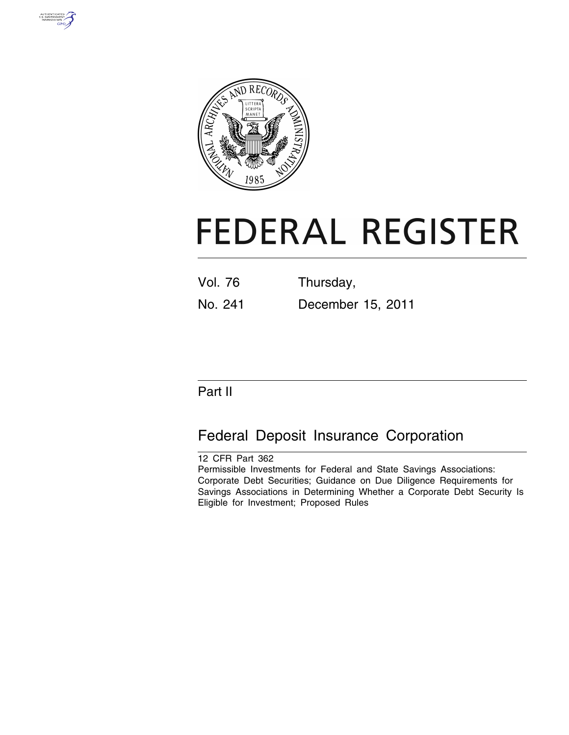



# **FEDERAL REGISTER**

| <b>Vol. 76</b> | Thursday,         |
|----------------|-------------------|
| No. 241        | December 15, 2011 |

# Part II

# Federal Deposit Insurance Corporation

12 CFR Part 362 Permissible Investments for Federal and State Savings Associations: Corporate Debt Securities; Guidance on Due Diligence Requirements for Savings Associations in Determining Whether a Corporate Debt Security Is Eligible for Investment; Proposed Rules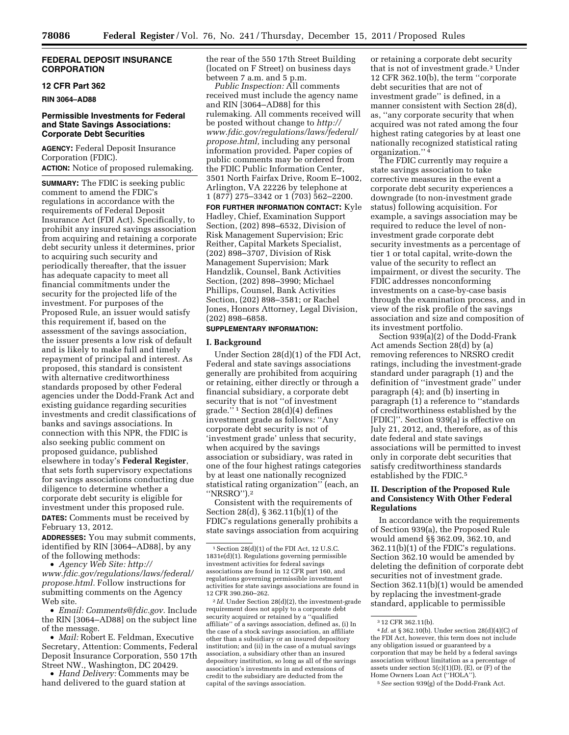#### **FEDERAL DEPOSIT INSURANCE CORPORATION**

# **12 CFR Part 362**

**RIN 3064–AD88** 

## **Permissible Investments for Federal and State Savings Associations: Corporate Debt Securities**

**AGENCY:** Federal Deposit Insurance Corporation (FDIC). **ACTION:** Notice of proposed rulemaking.

**SUMMARY:** The FDIC is seeking public comment to amend the FDIC's regulations in accordance with the requirements of Federal Deposit Insurance Act (FDI Act). Specifically, to prohibit any insured savings association from acquiring and retaining a corporate debt security unless it determines, prior to acquiring such security and periodically thereafter, that the issuer has adequate capacity to meet all financial commitments under the security for the projected life of the investment. For purposes of the Proposed Rule, an issuer would satisfy this requirement if, based on the assessment of the savings association, the issuer presents a low risk of default and is likely to make full and timely repayment of principal and interest. As proposed, this standard is consistent with alternative creditworthiness standards proposed by other Federal agencies under the Dodd-Frank Act and existing guidance regarding securities investments and credit classifications of banks and savings associations. In connection with this NPR, the FDIC is also seeking public comment on proposed guidance, published elsewhere in today's **Federal Register**, that sets forth supervisory expectations for savings associations conducting due diligence to determine whether a corporate debt security is eligible for investment under this proposed rule. **DATES:** Comments must be received by February 13, 2012.

**ADDRESSES:** You may submit comments, identified by RIN [3064–AD88], by any of the following methods:

• *Agency Web Site: [http://](http://www.fdic.gov/regulations/laws/federal/propose.html)  [www.fdic.gov/regulations/laws/federal/](http://www.fdic.gov/regulations/laws/federal/propose.html) [propose.html.](http://www.fdic.gov/regulations/laws/federal/propose.html)* Follow instructions for submitting comments on the Agency Web site.

• *Email: [Comments@fdic.gov.](mailto:Comments@fdic.gov)* Include the RIN [3064–AD88] on the subject line of the message.

• *Mail:* Robert E. Feldman, Executive Secretary, Attention: Comments, Federal Deposit Insurance Corporation, 550 17th Street NW., Washington, DC 20429.

• *Hand Delivery:* Comments may be hand delivered to the guard station at

the rear of the 550 17th Street Building (located on F Street) on business days between 7 a.m. and 5 p.m.

*Public Inspection:* All comments received must include the agency name and RIN [3064–AD88] for this rulemaking. All comments received will be posted without change to *[http://](http://www.fdic.gov/regulations/laws/federal/propose.html) [www.fdic.gov/regulations/laws/federal/](http://www.fdic.gov/regulations/laws/federal/propose.html) [propose.html,](http://www.fdic.gov/regulations/laws/federal/propose.html)* including any personal information provided. Paper copies of public comments may be ordered from the FDIC Public Information Center, 3501 North Fairfax Drive, Room E–1002, Arlington, VA 22226 by telephone at 1 (877) 275–3342 or 1 (703) 562–2200.

**FOR FURTHER INFORMATION CONTACT:** Kyle Hadley, Chief, Examination Support Section, (202) 898–6532, Division of Risk Management Supervision; Eric Reither, Capital Markets Specialist, (202) 898–3707, Division of Risk Management Supervision; Mark Handzlik, Counsel, Bank Activities Section, (202) 898–3990; Michael Phillips, Counsel, Bank Activities Section, (202) 898–3581; or Rachel Jones, Honors Attorney, Legal Division, (202) 898–6858.

#### **SUPPLEMENTARY INFORMATION:**

#### **I. Background**

Under Section 28(d)(1) of the FDI Act, Federal and state savings associations generally are prohibited from acquiring or retaining, either directly or through a financial subsidiary, a corporate debt security that is not ''of investment  $grade.'$ <sup>1</sup> Section 28(d)(4) defines investment grade as follows: ''Any corporate debt security is not of 'investment grade' unless that security, when acquired by the savings association or subsidiary, was rated in one of the four highest ratings categories by at least one nationally recognized statistical rating organization'' (each, an ''NRSRO'').2

Consistent with the requirements of Section 28(d), § 362.11(b)(1) of the FDIC's regulations generally prohibits a state savings association from acquiring

2 *Id.* Under Section 28(d)(2), the investment-grade requirement does not apply to a corporate debt security acquired or retained by a ''qualified affiliate'' of a savings association, defined as, (i) In the case of a stock savings association, an affiliate other than a subsidiary or an insured depository institution; and (ii) in the case of a mutual savings association, a subsidiary other than an insured depository institution, so long as all of the savings association's investments in and extensions of credit to the subsidiary are deducted from the capital of the savings association.

or retaining a corporate debt security that is not of investment grade.3 Under 12 CFR 362.10(b), the term ''corporate debt securities that are not of investment grade'' is defined, in a manner consistent with Section 28(d), as, ''any corporate security that when acquired was not rated among the four highest rating categories by at least one nationally recognized statistical rating organization.'' 4

The FDIC currently may require a state savings association to take corrective measures in the event a corporate debt security experiences a downgrade (to non-investment grade status) following acquisition. For example, a savings association may be required to reduce the level of noninvestment grade corporate debt security investments as a percentage of tier 1 or total capital, write-down the value of the security to reflect an impairment, or divest the security. The FDIC addresses nonconforming investments on a case-by-case basis through the examination process, and in view of the risk profile of the savings association and size and composition of its investment portfolio.

Section 939(a)(2) of the Dodd-Frank Act amends Section 28(d) by (a) removing references to NRSRO credit ratings, including the investment-grade standard under paragraph (1) and the definition of ''investment grade'' under paragraph (4); and (b) inserting in paragraph (1) a reference to ''standards of creditworthiness established by the [FDIC]''. Section 939(a) is effective on July 21, 2012, and, therefore, as of this date federal and state savings associations will be permitted to invest only in corporate debt securities that satisfy creditworthiness standards established by the FDIC.5

# **II. Description of the Proposed Rule and Consistency With Other Federal Regulations**

In accordance with the requirements of Section 939(a), the Proposed Rule would amend §§ 362.09, 362.10, and 362.11(b)(1) of the FDIC's regulations. Section 362.10 would be amended by deleting the definition of corporate debt securities not of investment grade. Section 362.11(b)(1) would be amended by replacing the investment-grade standard, applicable to permissible

<sup>1</sup>Section 28(d)(1) of the FDI Act, 12 U.S.C. 1831e(d)(1). Regulations governing permissible investment activities for federal savings associations are found in 12 CFR part 160, and regulations governing permissible investment activities for state savings associations are found in 12 CFR 390.260–262.

<sup>3</sup> 12 CFR 362.11(b).

<sup>4</sup> *Id.* at § 362.10(b). Under section 28(d)(4)(C) of the FDI Act, however, this term does not include any obligation issued or guaranteed by a corporation that may be held by a federal savings association without limitation as a percentage of assets under section 5(c)(1)(D), (E), or (F) of the Home Owners Loan Act (''HOLA'').

<sup>5</sup>*See* section 939(g) of the Dodd-Frank Act.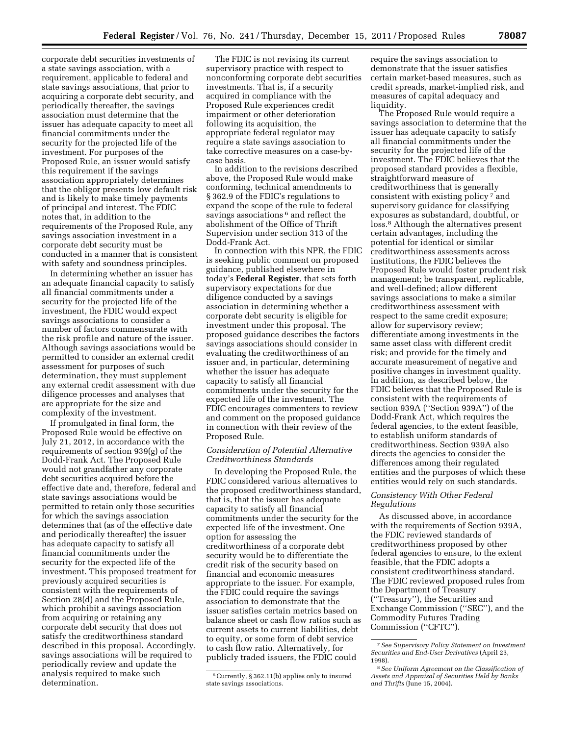corporate debt securities investments of a state savings association, with a requirement, applicable to federal and state savings associations, that prior to acquiring a corporate debt security, and periodically thereafter, the savings association must determine that the issuer has adequate capacity to meet all financial commitments under the security for the projected life of the investment. For purposes of the Proposed Rule, an issuer would satisfy this requirement if the savings association appropriately determines that the obligor presents low default risk and is likely to make timely payments of principal and interest. The FDIC notes that, in addition to the requirements of the Proposed Rule, any savings association investment in a corporate debt security must be

conducted in a manner that is consistent with safety and soundness principles. In determining whether an issuer has an adequate financial capacity to satisfy all financial commitments under a security for the projected life of the investment, the FDIC would expect savings associations to consider a number of factors commensurate with the risk profile and nature of the issuer. Although savings associations would be permitted to consider an external credit assessment for purposes of such determination, they must supplement any external credit assessment with due diligence processes and analyses that are appropriate for the size and complexity of the investment.

If promulgated in final form, the Proposed Rule would be effective on July 21, 2012, in accordance with the requirements of section 939(g) of the Dodd-Frank Act. The Proposed Rule would not grandfather any corporate debt securities acquired before the effective date and, therefore, federal and state savings associations would be permitted to retain only those securities for which the savings association determines that (as of the effective date and periodically thereafter) the issuer has adequate capacity to satisfy all financial commitments under the security for the expected life of the investment. This proposed treatment for previously acquired securities is consistent with the requirements of Section 28(d) and the Proposed Rule, which prohibit a savings association from acquiring or retaining any corporate debt security that does not satisfy the creditworthiness standard described in this proposal. Accordingly, savings associations will be required to periodically review and update the analysis required to make such determination.

The FDIC is not revising its current supervisory practice with respect to nonconforming corporate debt securities investments. That is, if a security acquired in compliance with the Proposed Rule experiences credit impairment or other deterioration following its acquisition, the appropriate federal regulator may require a state savings association to take corrective measures on a case-bycase basis.

In addition to the revisions described above, the Proposed Rule would make conforming, technical amendments to § 362.9 of the FDIC's regulations to expand the scope of the rule to federal savings associations<sup>6</sup> and reflect the abolishment of the Office of Thrift Supervision under section 313 of the Dodd-Frank Act.

In connection with this NPR, the FDIC is seeking public comment on proposed guidance, published elsewhere in today's **Federal Register**, that sets forth supervisory expectations for due diligence conducted by a savings association in determining whether a corporate debt security is eligible for investment under this proposal. The proposed guidance describes the factors savings associations should consider in evaluating the creditworthiness of an issuer and, in particular, determining whether the issuer has adequate capacity to satisfy all financial commitments under the security for the expected life of the investment. The FDIC encourages commenters to review and comment on the proposed guidance in connection with their review of the Proposed Rule.

# *Consideration of Potential Alternative Creditworthiness Standards*

In developing the Proposed Rule, the FDIC considered various alternatives to the proposed creditworthiness standard, that is, that the issuer has adequate capacity to satisfy all financial commitments under the security for the expected life of the investment. One option for assessing the creditworthiness of a corporate debt security would be to differentiate the credit risk of the security based on financial and economic measures appropriate to the issuer. For example, the FDIC could require the savings association to demonstrate that the issuer satisfies certain metrics based on balance sheet or cash flow ratios such as current assets to current liabilities, debt to equity, or some form of debt service to cash flow ratio. Alternatively, for publicly traded issuers, the FDIC could

require the savings association to demonstrate that the issuer satisfies certain market-based measures, such as credit spreads, market-implied risk, and measures of capital adequacy and liquidity.

The Proposed Rule would require a savings association to determine that the issuer has adequate capacity to satisfy all financial commitments under the security for the projected life of the investment. The FDIC believes that the proposed standard provides a flexible, straightforward measure of creditworthiness that is generally consistent with existing policy 7 and supervisory guidance for classifying exposures as substandard, doubtful, or loss.8 Although the alternatives present certain advantages, including the potential for identical or similar creditworthiness assessments across institutions, the FDIC believes the Proposed Rule would foster prudent risk management; be transparent, replicable, and well-defined; allow different savings associations to make a similar creditworthiness assessment with respect to the same credit exposure; allow for supervisory review; differentiate among investments in the same asset class with different credit risk; and provide for the timely and accurate measurement of negative and positive changes in investment quality. In addition, as described below, the FDIC believes that the Proposed Rule is consistent with the requirements of section 939A (''Section 939A'') of the Dodd-Frank Act, which requires the federal agencies, to the extent feasible, to establish uniform standards of creditworthiness. Section 939A also directs the agencies to consider the differences among their regulated entities and the purposes of which these entities would rely on such standards.

## *Consistency With Other Federal Regulations*

As discussed above, in accordance with the requirements of Section 939A, the FDIC reviewed standards of creditworthiness proposed by other federal agencies to ensure, to the extent feasible, that the FDIC adopts a consistent creditworthiness standard. The FDIC reviewed proposed rules from the Department of Treasury (''Treasury''), the Securities and Exchange Commission (''SEC''), and the Commodity Futures Trading Commission (''CFTC'').

<sup>6</sup>Currently, § 362.11(b) applies only to insured state savings associations.

<sup>7</sup>*See Supervisory Policy Statement on Investment Securities and End-User Derivatives* (April 23, 1998).

<sup>8</sup>*See Uniform Agreement on the Classification of Assets and Appraisal of Securities Held by Banks and Thrifts* (June 15, 2004).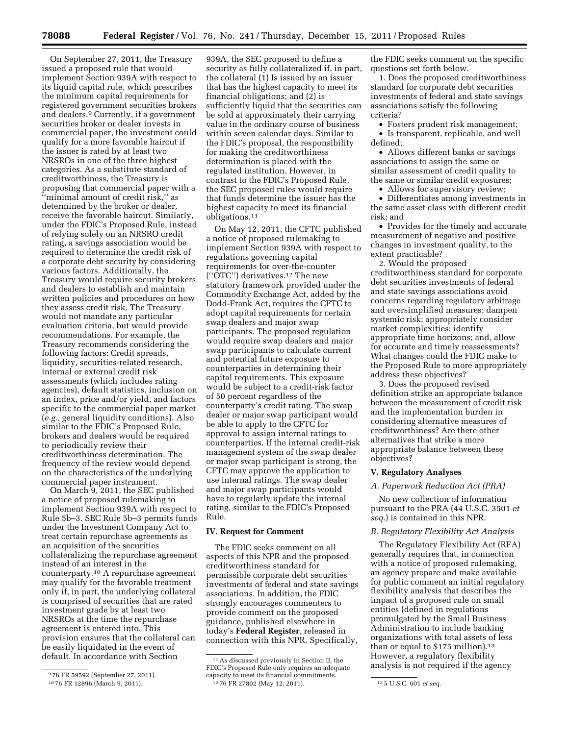On September 27, 2011, the Treasury issued a proposed rule that would implement Section 939A with respect to its liquid capital rule, which prescribes the minimum capital requirements for registered government securities brokers and dealers.9 Currently, if a government securities broker or dealer invests in commercial paper, the investment could qualify for a more favorable haircut if the issuer is rated by at least two NRSROs in one of the three highest categories. As a substitute standard of creditworthiness, the Treasury is proposing that commercial paper with a ''minimal amount of credit risk,'' as determined by the broker or dealer, receive the favorable haircut. Similarly, under the FDIC's Proposed Rule, instead of relying solely on an NRSRO credit rating, a savings association would be required to determine the credit risk of a corporate debt security by considering various factors. Additionally, the Treasury would require security brokers and dealers to establish and maintain written policies and procedures on how they assess credit risk. The Treasury would not mandate any particular evaluation criteria, but would provide recommendations. For example, the Treasury recommends considering the following factors: Credit spreads, liquidity, securities-related research, internal or external credit risk assessments (which includes rating agencies), default statistics, inclusion on an index, price and/or yield, and factors specific to the commercial paper market (*e.g.,* general liquidity conditions). Also similar to the FDIC's Proposed Rule, brokers and dealers would be required to periodically review their creditworthiness determination. The frequency of the review would depend on the characteristics of the underlying commercial paper instrument.

On March 9, 2011, the SEC published a notice of proposed rulemaking to implement Section 939A with respect to Rule 5b–3. SEC Rule 5b–3 permits funds under the Investment Company Act to treat certain repurchase agreements as an acquisition of the securities collateralizing the repurchase agreement instead of an interest in the counterparty.10 A repurchase agreement may qualify for the favorable treatment only if, in part, the underlying collateral is comprised of securities that are rated investment grade by at least two NRSROs at the time the repurchase agreement is entered into. This provision ensures that the collateral can be easily liquidated in the event of default. In accordance with Section

939A, the SEC proposed to define a security as fully collateralized if, in part, the collateral (1) Is issued by an issuer that has the highest capacity to meet its financial obligations; and (2) is sufficiently liquid that the securities can be sold at approximately their carrying value in the ordinary course of business within seven calendar days. Similar to the FDIC's proposal, the responsibility for making the creditworthiness determination is placed with the regulated institution. However, in contrast to the FDIC's Proposed Rule, the SEC proposed rules would require that funds determine the issuer has the highest capacity to meet its financial obligations.11

On May 12, 2011, the CFTC published a notice of proposed rulemaking to implement Section 939A with respect to regulations governing capital requirements for over-the-counter (''OTC'') derivatives.12 The new statutory framework provided under the Commodity Exchange Act, added by the Dodd-Frank Act, requires the CFTC to adopt capital requirements for certain swap dealers and major swap participants. The proposed regulation would require swap dealers and major swap participants to calculate current and potential future exposure to counterparties in determining their capital requirements. This exposure would be subject to a credit-risk factor of 50 percent regardless of the counterparty's credit rating. The swap dealer or major swap participant would be able to apply to the CFTC for approval to assign internal ratings to counterparties. If the internal credit-risk management system of the swap dealer or major swap participant is strong, the CFTC may approve the application to use internal ratings. The swap dealer and major swap participants would have to regularly update the internal rating, similar to the FDIC's Proposed Rule.

## **IV. Request for Comment**

The FDIC seeks comment on all aspects of this NPR and the proposed creditworthiness standard for permissible corporate debt securities investments of federal and state savings associations. In addition, the FDIC strongly encourages commenters to provide comment on the proposed guidance, published elsewhere in today's **Federal Register**, released in connection with this NPR. Specifically,

the FDIC seeks comment on the specific questions set forth below.

1. Does the proposed creditworthiness standard for corporate debt securities investments of federal and state savings associations satisfy the following criteria?

• Fosters prudent risk management; • Is transparent, replicable, and well defined;

• Allows different banks or savings associations to assign the same or similar assessment of credit quality to the same or similar credit exposures;

• Allows for supervisory review;

• Differentiates among investments in the same asset class with different credit risk; and

• Provides for the timely and accurate measurement of negative and positive changes in investment quality, to the extent practicable?

2. Would the proposed creditworthiness standard for corporate debt securities investments of federal and state savings associations avoid concerns regarding regulatory arbitrage and oversimplified measures; dampen systemic risk; appropriately consider market complexities; identify appropriate time horizons; and, allow for accurate and timely reassessments? What changes could the FDIC make to the Proposed Rule to more appropriately address these objectives?

3. Does the proposed revised definition strike an appropriate balance between the measurement of credit risk and the implementation burden in considering alternative measures of creditworthiness? Are there other alternatives that strike a more appropriate balance between these objectives?

# **V. Regulatory Analyses**

#### *A. Paperwork Reduction Act (PRA)*

No new collection of information pursuant to the PRA (44 U.S.C. 3501 *et seq.*) is contained in this NPR.

#### *B. Regulatory Flexibility Act Analysis*

The Regulatory Flexibility Act (RFA) generally requires that, in connection with a notice of proposed rulemaking, an agency prepare and make available for public comment an initial regulatory flexibility analysis that describes the impact of a proposed rule on small entities (defined in regulations promulgated by the Small Business Administration to include banking organizations with total assets of less than or equal to \$175 million).<sup>13</sup> However, a regulatory flexibility analysis is not required if the agency

<sup>9</sup> 76 FR 59592 (September 27, 2011).

<sup>10</sup> 76 FR 12896 (March 9, 2011).

<sup>11</sup>As discussed previously in Section II, the FDIC's Proposed Rule only requires an adequate capacity to meet its financial commitments. 12 76 FR 27802 (May 12, 2011). 13 5 U.S.C. 601 *et seq.*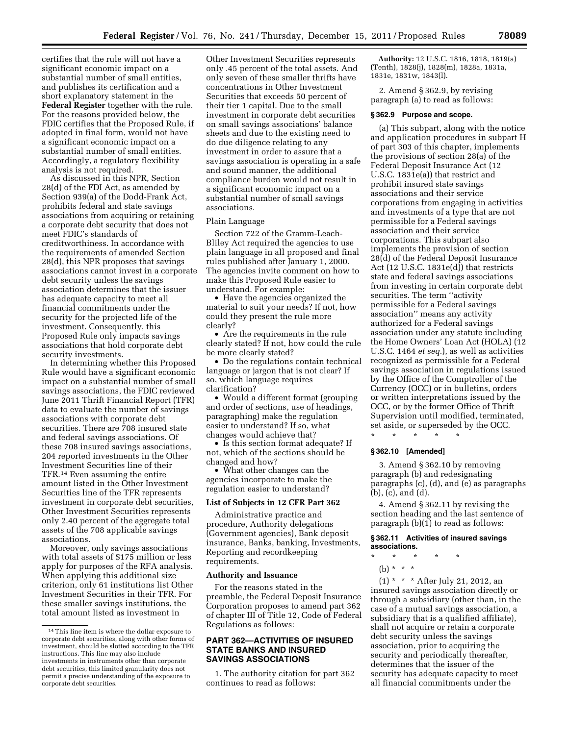certifies that the rule will not have a significant economic impact on a substantial number of small entities, and publishes its certification and a short explanatory statement in the **Federal Register** together with the rule. For the reasons provided below, the FDIC certifies that the Proposed Rule, if adopted in final form, would not have a significant economic impact on a substantial number of small entities. Accordingly, a regulatory flexibility analysis is not required.

As discussed in this NPR, Section 28(d) of the FDI Act, as amended by Section 939(a) of the Dodd-Frank Act, prohibits federal and state savings associations from acquiring or retaining a corporate debt security that does not meet FDIC's standards of creditworthiness. In accordance with the requirements of amended Section 28(d), this NPR proposes that savings associations cannot invest in a corporate debt security unless the savings association determines that the issuer has adequate capacity to meet all financial commitments under the security for the projected life of the investment. Consequently, this Proposed Rule only impacts savings associations that hold corporate debt security investments.

In determining whether this Proposed Rule would have a significant economic impact on a substantial number of small savings associations, the FDIC reviewed June 2011 Thrift Financial Report (TFR) data to evaluate the number of savings associations with corporate debt securities. There are 708 insured state and federal savings associations. Of these 708 insured savings associations, 204 reported investments in the Other Investment Securities line of their TFR.14 Even assuming the entire amount listed in the Other Investment Securities line of the TFR represents investment in corporate debt securities, Other Investment Securities represents only 2.40 percent of the aggregate total assets of the 708 applicable savings associations.

Moreover, only savings associations with total assets of \$175 million or less apply for purposes of the RFA analysis. When applying this additional size criterion, only 61 institutions list Other Investment Securities in their TFR. For these smaller savings institutions, the total amount listed as investment in

Other Investment Securities represents only .45 percent of the total assets. And only seven of these smaller thrifts have concentrations in Other Investment Securities that exceeds 50 percent of their tier 1 capital. Due to the small investment in corporate debt securities on small savings associations' balance sheets and due to the existing need to do due diligence relating to any investment in order to assure that a savings association is operating in a safe and sound manner, the additional compliance burden would not result in a significant economic impact on a substantial number of small savings associations.

#### Plain Language

Section 722 of the Gramm-Leach-Bliley Act required the agencies to use plain language in all proposed and final rules published after January 1, 2000. The agencies invite comment on how to make this Proposed Rule easier to understand. For example:

• Have the agencies organized the material to suit your needs? If not, how could they present the rule more clearly?

• Are the requirements in the rule clearly stated? If not, how could the rule be more clearly stated?

• Do the regulations contain technical language or jargon that is not clear? If so, which language requires clarification?

• Would a different format (grouping and order of sections, use of headings, paragraphing) make the regulation easier to understand? If so, what changes would achieve that?

• Is this section format adequate? If not, which of the sections should be changed and how?

• What other changes can the agencies incorporate to make the regulation easier to understand?

# **List of Subjects in 12 CFR Part 362**

Administrative practice and procedure, Authority delegations (Government agencies), Bank deposit insurance, Banks, banking, Investments, Reporting and recordkeeping requirements.

#### **Authority and Issuance**

For the reasons stated in the preamble, the Federal Deposit Insurance Corporation proposes to amend part 362 of chapter III of Title 12, Code of Federal Regulations as follows:

# **PART 362—ACTIVITIES OF INSURED STATE BANKS AND INSURED SAVINGS ASSOCIATIONS**

1. The authority citation for part 362 continues to read as follows:

**Authority:** 12 U.S.C. 1816, 1818, 1819(a) (Tenth), 1828(j), 1828(m), 1828a, 1831a, 1831e, 1831w, 1843(l).

2. Amend § 362.9, by revising paragraph (a) to read as follows:

#### **§ 362.9 Purpose and scope.**

(a) This subpart, along with the notice and application procedures in subpart H of part 303 of this chapter, implements the provisions of section 28(a) of the Federal Deposit Insurance Act (12 U.S.C. 1831e(a)) that restrict and prohibit insured state savings associations and their service corporations from engaging in activities and investments of a type that are not permissible for a Federal savings association and their service corporations. This subpart also implements the provision of section 28(d) of the Federal Deposit Insurance Act (12 U.S.C. 1831e(d)) that restricts state and federal savings associations from investing in certain corporate debt securities. The term ''activity permissible for a Federal savings association'' means any activity authorized for a Federal savings association under any statute including the Home Owners' Loan Act (HOLA) (12 U.S.C. 1464 *et seq.*), as well as activities recognized as permissible for a Federal savings association in regulations issued by the Office of the Comptroller of the Currency (OCC) or in bulletins, orders or written interpretations issued by the OCC, or by the former Office of Thrift Supervision until modified, terminated, set aside, or superseded by the OCC.

\* \* \* \* \*

#### **§ 362.10 [Amended]**

3. Amend § 362.10 by removing paragraph (b) and redesignating paragraphs (c), (d), and (e) as paragraphs (b), (c), and (d).

4. Amend § 362.11 by revising the section heading and the last sentence of paragraph (b)(1) to read as follows:

#### **§ 362.11 Activities of insured savings associations.**

- \* \* \* \* \*
	- (b)  $* * * *$

(1) \* \* \* After July 21, 2012, an insured savings association directly or through a subsidiary (other than, in the case of a mutual savings association, a subsidiary that is a qualified affiliate), shall not acquire or retain a corporate debt security unless the savings association, prior to acquiring the security and periodically thereafter, determines that the issuer of the security has adequate capacity to meet all financial commitments under the

<sup>14</sup>This line item is where the dollar exposure to corporate debt securities, along with other forms of investment, should be slotted according to the TFR instructions. This line may also include investments in instruments other than corporate debt securities, this limited granularity does not permit a precise understanding of the exposure to corporate debt securities.